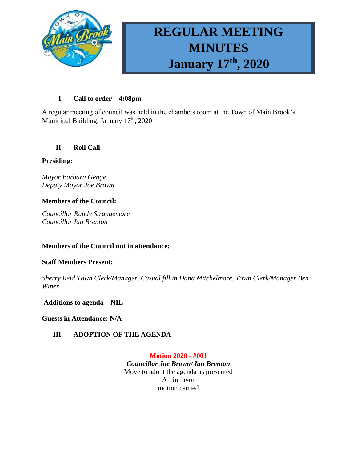

# **REGULAR MEETING MINUTES January 17th , 2020**

## **I. Call to order – 4:08pm**

A regular meeting of council was held in the chambers room at the Town of Main Brook's Municipal Building. January 17<sup>th</sup>, 2020

# **II. Roll Call**

## **Presiding:**

*Mayor Barbara Genge Deputy Mayor Joe Brown*

## **Members of the Council:**

*Councillor Randy Strangemore Councillor Ian Brenton*

## **Members of the Council not in attendance:**

## **Staff Members Present:**

*Sherry Reid Town Clerk/Manager, Casual fill in Dana Mitchelmore, Town Clerk/Manager Ben Wiper*

## **Additions to agenda – NIL**

**Guests in Attendance: N/A**

# **III. ADOPTION OF THE AGENDA**

**Motion 2020 - #001** *Councillor Joe Brown/ Ian Brenton* Move to adopt the agenda as presented All in favor motion carried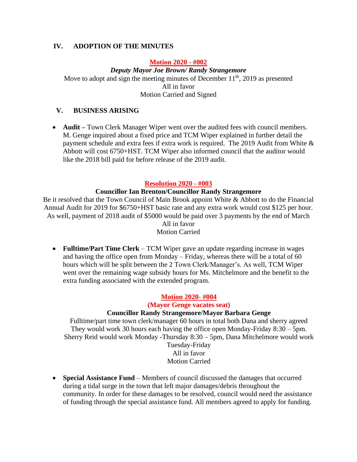# **IV. ADOPTION OF THE MINUTES**

#### **Motion 2020 - #002**

*Deputy Mayor Joe Brown/ Randy Strangemore* Move to adopt and sign the meeting minutes of December  $11<sup>th</sup>$ , 2019 as presented All in favor Motion Carried and Signed

# **V. BUSINESS ARISING**

• **Audit** – Town Clerk Manager Wiper went over the audited fees with council members. M. Genge inquired about a fixed price and TCM Wiper explained in further detail the payment schedule and extra fees if extra work is required. The 2019 Audit from White & Abbott will cost 6750+HST. TCM Wiper also informed council that the auditor would like the 2018 bill paid for before release of the 2019 audit.

#### **Resolution 2020 - #003**

#### **Councillor Ian Brenton/Councillor Randy Strangemore**

Be it resolved that the Town Council of Main Brook appoint White & Abbott to do the Financial Annual Audit for 2019 for \$6750+HST basic rate and any extra work would cost \$125 per hour. As well, payment of 2018 audit of \$5000 would be paid over 3 payments by the end of March

#### All in favor Motion Carried

• **Fulltime/Part Time Clerk** – TCM Wiper gave an update regarding increase in wages and having the office open from Monday – Friday, whereas there will be a total of 60 hours which will be split between the 2 Town Clerk/Manager's. As well, TCM Wiper went over the remaining wage subsidy hours for Ms. Mitchelmore and the benefit to the extra funding associated with the extended program.

## **Motion 2020- #004**

# **(Mayor Genge vacates seat)**

#### **Councillor Randy Strangemore/Mayor Barbara Genge**

Fulltime/part time town clerk/manager 60 hours in total both Dana and sherry agreed They would work 30 hours each having the office open Monday-Friday 8:30 – 5pm. Sherry Reid would work Monday -Thursday 8:30 – 5pm, Dana Mitchelmore would work Tuesday-Friday

All in favor Motion Carried

• **Special Assistance Fund** – Members of council discussed the damages that occurred during a tidal surge in the town that left major damages/debris throughout the community. In order for these damages to be resolved, council would need the assistance of funding through the special assistance fund. All members agreed to apply for funding.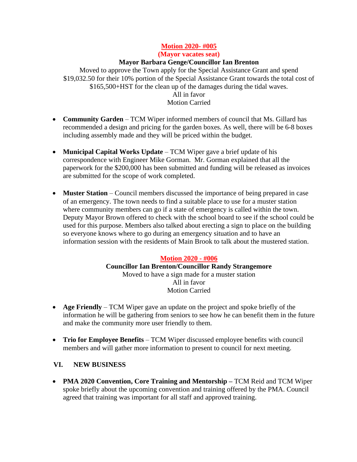#### **Motion 2020- #005**

**(Mayor vacates seat)**

#### **Mayor Barbara Genge/Councillor Ian Brenton**

Moved to approve the Town apply for the Special Assistance Grant and spend \$19,032.50 for their 10% portion of the Special Assistance Grant towards the total cost of \$165,500+HST for the clean up of the damages during the tidal waves. All in favor Motion Carried

- **Community Garden** TCM Wiper informed members of council that Ms. Gillard has recommended a design and pricing for the garden boxes. As well, there will be 6-8 boxes including assembly made and they will be priced within the budget.
- **Municipal Capital Works Update** TCM Wiper gave a brief update of his correspondence with Engineer Mike Gorman. Mr. Gorman explained that all the paperwork for the \$200,000 has been submitted and funding will be released as invoices are submitted for the scope of work completed.
- **Muster Station** Council members discussed the importance of being prepared in case of an emergency. The town needs to find a suitable place to use for a muster station where community members can go if a state of emergency is called within the town. Deputy Mayor Brown offered to check with the school board to see if the school could be used for this purpose. Members also talked about erecting a sign to place on the building so everyone knows where to go during an emergency situation and to have an information session with the residents of Main Brook to talk about the mustered station.

## **Motion 2020 - #006**

**Councillor Ian Brenton/Councillor Randy Strangemore** Moved to have a sign made for a muster station All in favor Motion Carried

- **Age Friendly** TCM Wiper gave an update on the project and spoke briefly of the information he will be gathering from seniors to see how he can benefit them in the future and make the community more user friendly to them.
- **Trio for Employee Benefits** TCM Wiper discussed employee benefits with council members and will gather more information to present to council for next meeting.

## **VI. NEW BUSINESS**

• **PMA 2020 Convention, Core Training and Mentorship –** TCM Reid and TCM Wiper spoke briefly about the upcoming convention and training offered by the PMA. Council agreed that training was important for all staff and approved training.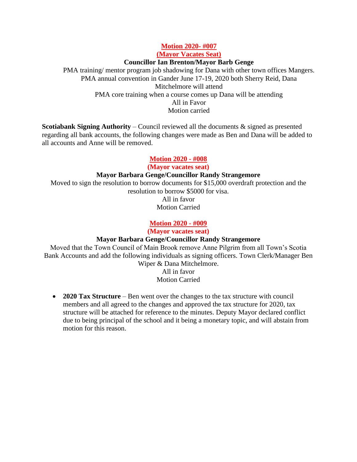#### **Motion 2020- #007 (Mayor Vacates Seat)**

#### **Councillor Ian Brenton/Mayor Barb Genge**

PMA training/ mentor program job shadowing for Dana with other town offices Mangers. PMA annual convention in Gander June 17-19, 2020 both Sherry Reid, Dana Mitchelmore will attend PMA core training when a course comes up Dana will be attending All in Favor Motion carried

**Scotiabank Signing Authority** – Council reviewed all the documents & signed as presented regarding all bank accounts, the following changes were made as Ben and Dana will be added to all accounts and Anne will be removed.

#### **Motion 2020 - #008**

**(Mayor vacates seat)**

#### **Mayor Barbara Genge/Councillor Randy Strangemore**

Moved to sign the resolution to borrow documents for \$15,000 overdraft protection and the resolution to borrow \$5000 for visa.

> All in favor Motion Carried

#### **Motion 2020 - #009**

**(Mayor vacates seat)**

#### **Mayor Barbara Genge/Councillor Randy Strangemore**

Moved that the Town Council of Main Brook remove Anne Pilgrim from all Town's Scotia Bank Accounts and add the following individuals as signing officers. Town Clerk/Manager Ben Wiper & Dana Mitchelmore.

All in favor Motion Carried

• **2020 Tax Structure** – Ben went over the changes to the tax structure with council members and all agreed to the changes and approved the tax structure for 2020, tax structure will be attached for reference to the minutes. Deputy Mayor declared conflict due to being principal of the school and it being a monetary topic, and will abstain from motion for this reason.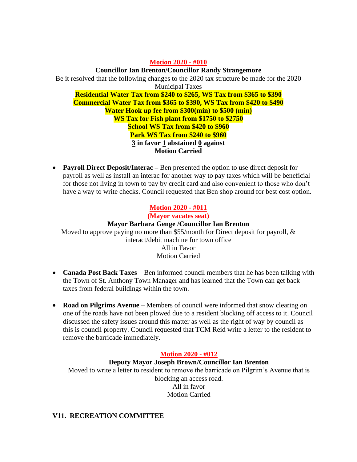#### **Motion 2020 - #010**

**Councillor Ian Brenton/Councillor Randy Strangemore** Be it resolved that the following changes to the 2020 tax structure be made for the 2020 Municipal Taxes **Residential Water Tax from \$240 to \$265, WS Tax from \$365 to \$390**

**Commercial Water Tax from \$365 to \$390, WS Tax from \$420 to \$490 Water Hook up fee from \$300(min) to \$500 (min) WS Tax for Fish plant from \$1750 to \$2750 School WS Tax from \$420 to \$960 Park WS Tax from \$240 to \$960 3 in favor 1 abstained 0 against**

**Motion Carried**

• **Payroll Direct Deposit/Interac** – Ben presented the option to use direct deposit for payroll as well as install an interac for another way to pay taxes which will be beneficial for those not living in town to pay by credit card and also convenient to those who don't have a way to write checks. Council requested that Ben shop around for best cost option.

# **Motion 2020 - #011**

**(Mayor vacates seat)**

#### **Mayor Barbara Genge /Councillor Ian Brenton**

Moved to approve paying no more than \$55/month for Direct deposit for payroll,  $\&$ interact/debit machine for town office All in Favor Motion Carried

- **Canada Post Back Taxes** Ben informed council members that he has been talking with the Town of St. Anthony Town Manager and has learned that the Town can get back taxes from federal buildings within the town.
- **Road on Pilgrims Avenue** Members of council were informed that snow clearing on one of the roads have not been plowed due to a resident blocking off access to it. Council discussed the safety issues around this matter as well as the right of way by council as this is council property. Council requested that TCM Reid write a letter to the resident to remove the barricade immediately.

## **Motion 2020 - #012**

#### **Deputy Mayor Joseph Brown/Councillor Ian Brenton**

Moved to write a letter to resident to remove the barricade on Pilgrim's Avenue that is blocking an access road. All in favor Motion Carried

## **V11. RECREATION COMMITTEE**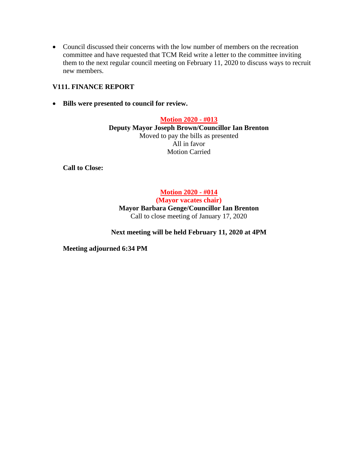• Council discussed their concerns with the low number of members on the recreation committee and have requested that TCM Reid write a letter to the committee inviting them to the next regular council meeting on February 11, 2020 to discuss ways to recruit new members.

## **V111. FINANCE REPORT**

• **Bills were presented to council for review.**

**Motion 2020 - #013 Deputy Mayor Joseph Brown/Councillor Ian Brenton** Moved to pay the bills as presented All in favor Motion Carried

**Call to Close:** 

**Motion 2020 - #014**

**(Mayor vacates chair) Mayor Barbara Genge/Councillor Ian Brenton** Call to close meeting of January 17, 2020

## **Next meeting will be held February 11, 2020 at 4PM**

**Meeting adjourned 6:34 PM**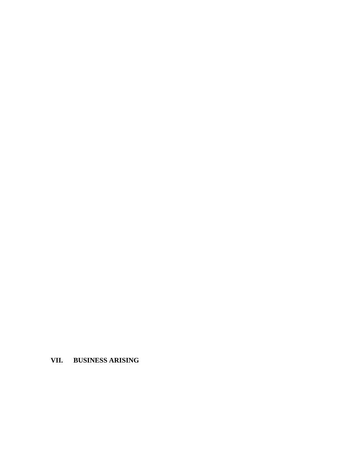# **VII. BUSINESS ARISING**